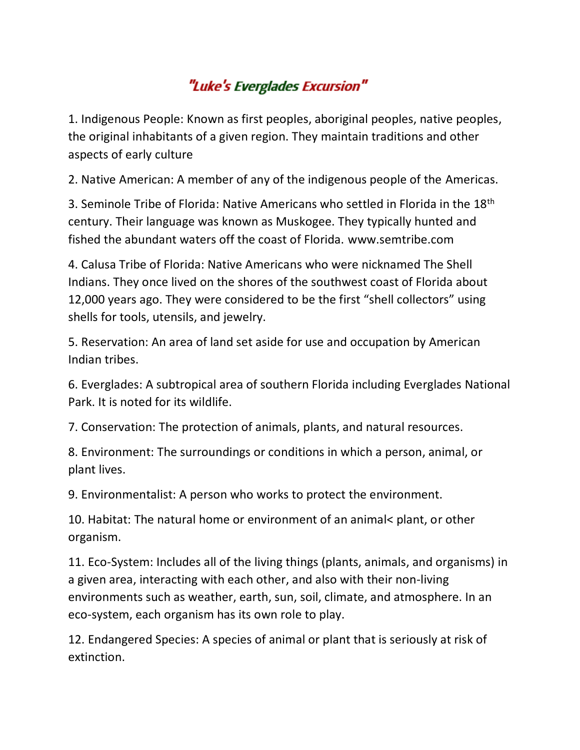## "Luke's Everglades Excursion"

1. Indigenous People: Known as first peoples, aboriginal peoples, native peoples, the original inhabitants of a given region. They maintain traditions and other aspects of early culture

2. Native American: A member of any of the indigenous people of the Americas.

3. Seminole Tribe of Florida: Native Americans who settled in Florida in the 18<sup>th</sup> century. Their language was known as Muskogee. They typically hunted and fished the abundant waters off the coast of Florida. www.semtribe.com

4. Calusa Tribe of Florida: Native Americans who were nicknamed The Shell Indians. They once lived on the shores of the southwest coast of Florida about 12,000 years ago. They were considered to be the first "shell collectors" using shells for tools, utensils, and jewelry.

5. Reservation: An area of land set aside for use and occupation by American Indian tribes.

6. Everglades: A subtropical area of southern Florida including Everglades National Park. It is noted for its wildlife.

7. Conservation: The protection of animals, plants, and natural resources.

8. Environment: The surroundings or conditions in which a person, animal, or plant lives.

9. Environmentalist: A person who works to protect the environment.

10. Habitat: The natural home or environment of an animal< plant, or other organism.

11. Eco-System: Includes all of the living things (plants, animals, and organisms) in a given area, interacting with each other, and also with their non-living environments such as weather, earth, sun, soil, climate, and atmosphere. In an eco-system, each organism has its own role to play.

12. Endangered Species: A species of animal or plant that is seriously at risk of extinction.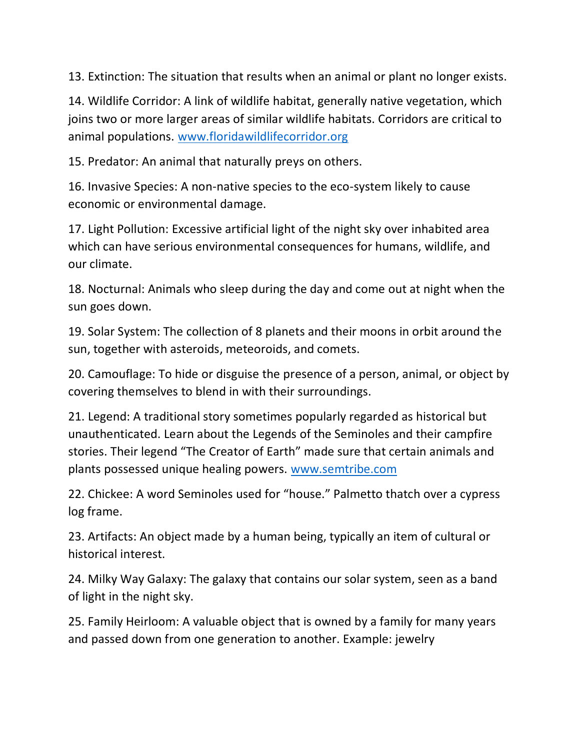13. Extinction: The situation that results when an animal or plant no longer exists.

14. Wildlife Corridor: A link of wildlife habitat, generally native vegetation, which joins two or more larger areas of similar wildlife habitats. Corridors are critical to animal populations. [www.floridawildlifecorridor.org](http://www.floridawildlifecorridor.org/)

15. Predator: An animal that naturally preys on others.

16. Invasive Species: A non-native species to the eco-system likely to cause economic or environmental damage.

17. Light Pollution: Excessive artificial light of the night sky over inhabited area which can have serious environmental consequences for humans, wildlife, and our climate.

18. Nocturnal: Animals who sleep during the day and come out at night when the sun goes down.

19. Solar System: The collection of 8 planets and their moons in orbit around the sun, together with asteroids, meteoroids, and comets.

20. Camouflage: To hide or disguise the presence of a person, animal, or object by covering themselves to blend in with their surroundings.

21. Legend: A traditional story sometimes popularly regarded as historical but unauthenticated. Learn about the Legends of the Seminoles and their campfire stories. Their legend "The Creator of Earth" made sure that certain animals and plants possessed unique healing powers. [www.semtribe.com](http://www.semtribe.com/) 

22. Chickee: A word Seminoles used for "house." Palmetto thatch over a cypress log frame.

23. Artifacts: An object made by a human being, typically an item of cultural or historical interest.

24. Milky Way Galaxy: The galaxy that contains our solar system, seen as a band of light in the night sky.

25. Family Heirloom: A valuable object that is owned by a family for many years and passed down from one generation to another. Example: jewelry